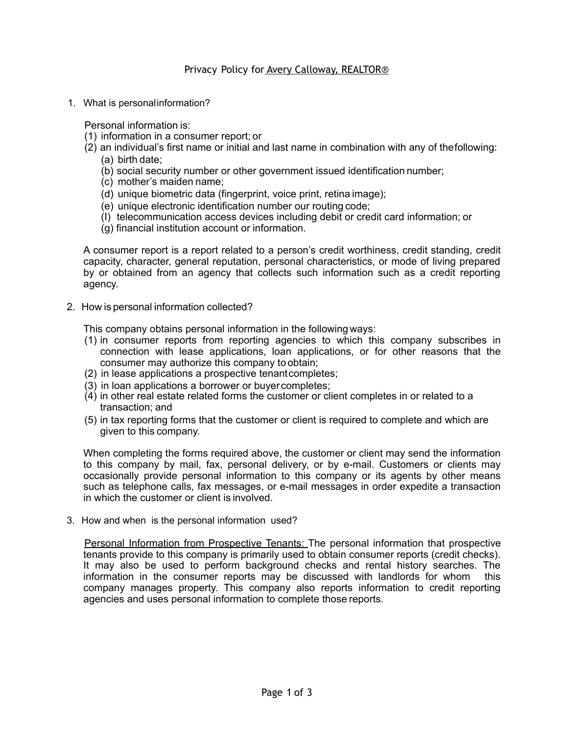## Privacy Policy for Avery Calloway, REALTOR®

1. What is personalinformation?

Personal information is:

- (1) information in a consumer report; or
- (2) an individual's first name or initial and last name in combination with any of thefollowing: (a) birth date;
	- (b) social security number or other government issued identification number;
	- (c) mother's maiden name;
	- (d) unique biometric data (fingerprint, voice print, retina image);
	- (e) unique electronic identification number our routing code;
	- (I) telecommunication access devices including debit or credit card information; or
	- (g) financial institution account or information.

A consumer report is a report related to a person's credit worthiness, credit standing, credit capacity, character, general reputation, personal characteristics, or mode of living prepared by or obtained from an agency that collects such information such as a credit reporting agency.

2. How is personal information collected?

This company obtains personal information in the following ways:

- (1) in consumer reports from reporting agencies to which this company subscribes in connection with lease applications, loan applications, or for other reasons that the consumer may authorize this company to obtain;
- (2) in lease applications a prospective tenantcompletes;
- (3) in loan applications a borrower or buyer completes;
- (4) in other real estate related forms the customer or client completes in or related to a transaction; and
- (5) in tax reporting forms that the customer or client is required to complete and which are given to this company.

When completing the forms required above, the customer or client may send the information to this company by mail, fax, personal delivery, or by e-mail. Customers or clients may occasionally provide personal information to this company or its agents by other means such as telephone calls, fax messages, or e-mail messages in order expedite a transaction in which the customer or client is involved.

3. How and when is the personal information used?

Personal Information from Prospective Tenants: The personal information that prospective tenants provide to this company is primarily used to obtain consumer reports (credit checks). It may also be used to perform background checks and rental history searches. The information in the consumer reports may be discussed with landlords for whom this company manages property. This company also reports information to credit reporting agencies and uses personal information to complete those reports.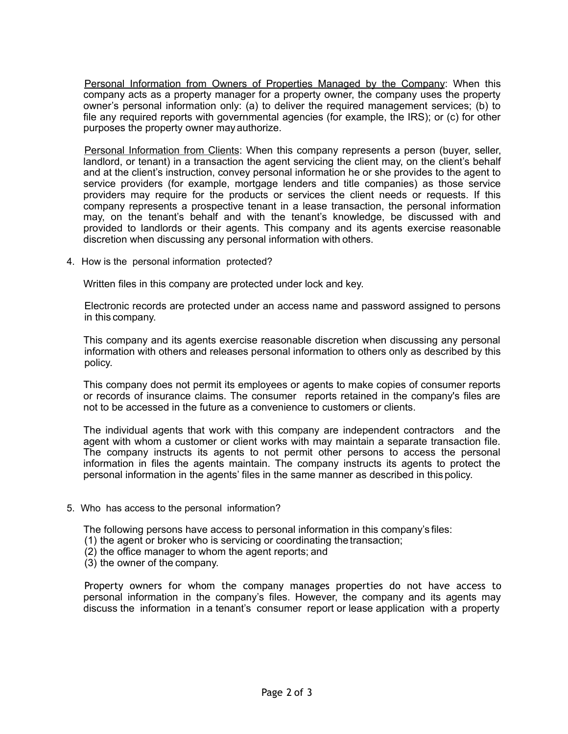Personal Information from Owners of Properties Managed by the Company: When this company acts as a property manager for a property owner, the company uses the property owner's personal information only: (a) to deliver the required management services; (b) to file any required reports with governmental agencies (for example, the IRS); or (c) for other purposes the property owner may authorize.

Personal Information from Clients: When this company represents a person (buyer, seller, landlord, or tenant) in a transaction the agent servicing the client may, on the client's behalf and at the client's instruction, convey personal information he or she provides to the agent to service providers (for example, mortgage lenders and title companies) as those service providers may require for the products or services the client needs or requests. If this company represents a prospective tenant in a lease transaction, the personal information may, on the tenant's behalf and with the tenant's knowledge, be discussed with and provided to landlords or their agents. This company and its agents exercise reasonable discretion when discussing any personal information with others.

4. How is the personal information protected?

Written files in this company are protected under lock and key.

Electronic records are protected under an access name and password assigned to persons in this company.

This company and its agents exercise reasonable discretion when discussing any personal information with others and releases personal information to others only as described by this policy.

This company does not permit its employees or agents to make copies of consumer reports or records of insurance claims. The consumer reports retained in the company's files are not to be accessed in the future as a convenience to customers or clients.

The individual agents that work with this company are independent contractors and the agent with whom a customer or client works with may maintain a separate transaction file. The company instructs its agents to not permit other persons to access the personal information in files the agents maintain. The company instructs its agents to protect the personal information in the agents' files in the same manner as described in this policy.

5. Who has access to the personal information?

The following persons have access to personal information in this company's files:

- (1) the agent or broker who is servicing or coordinating the transaction;
- (2) the office manager to whom the agent reports; and
- (3) the owner of the company.

Property owners for whom the company manages properties do not have access to personal information in the company's files. However, the company and its agents may discuss the information in a tenant's consumer report or lease application with a property